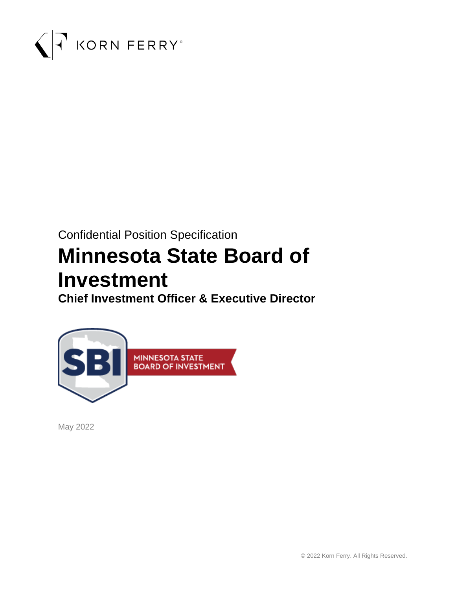

# Confidential Position Specification

# **Minnesota State Board of Investment**

**Chief Investment Officer & Executive Director**



May 2022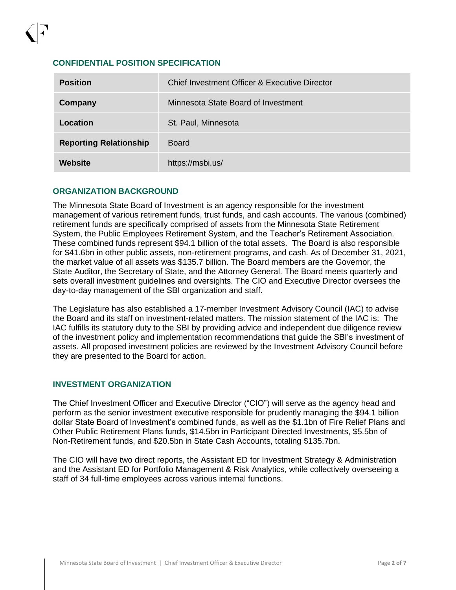#### **CONFIDENTIAL POSITION SPECIFICATION**

| <b>Position</b>               | Chief Investment Officer & Executive Director |
|-------------------------------|-----------------------------------------------|
| Company                       | Minnesota State Board of Investment           |
| Location                      | St. Paul, Minnesota                           |
| <b>Reporting Relationship</b> | <b>Board</b>                                  |
| Website                       | https://msbi.us/                              |

#### **ORGANIZATION BACKGROUND**

The Minnesota State Board of Investment is an agency responsible for the investment management of various retirement funds, trust funds, and cash accounts. The various (combined) retirement funds are specifically comprised of assets from the Minnesota State Retirement System, the Public Employees Retirement System, and the Teacher's Retirement Association. These combined funds represent \$94.1 billion of the total assets. The Board is also responsible for \$41.6bn in other public assets, non-retirement programs, and cash. As of December 31, 2021, the market value of all assets was \$135.7 billion. The Board members are the Governor, the State Auditor, the Secretary of State, and the Attorney General. The Board meets quarterly and sets overall investment guidelines and oversights. The CIO and Executive Director oversees the day-to-day management of the SBI organization and staff.

The Legislature has also established a 17-member Investment Advisory Council (IAC) to advise the Board and its staff on investment-related matters. The mission statement of the IAC is: The IAC fulfills its statutory duty to the SBI by providing advice and independent due diligence review of the investment policy and implementation recommendations that guide the SBI's investment of assets. All proposed investment policies are reviewed by the Investment Advisory Council before they are presented to the Board for action.

#### **INVESTMENT ORGANIZATION**

The Chief Investment Officer and Executive Director ("CIO") will serve as the agency head and perform as the senior investment executive responsible for prudently managing the \$94.1 billion dollar State Board of Investment's combined funds, as well as the \$1.1bn of Fire Relief Plans and Other Public Retirement Plans funds, \$14.5bn in Participant Directed Investments, \$5.5bn of Non-Retirement funds, and \$20.5bn in State Cash Accounts, totaling \$135.7bn.

The CIO will have two direct reports, the Assistant ED for Investment Strategy & Administration and the Assistant ED for Portfolio Management & Risk Analytics, while collectively overseeing a staff of 34 full-time employees across various internal functions.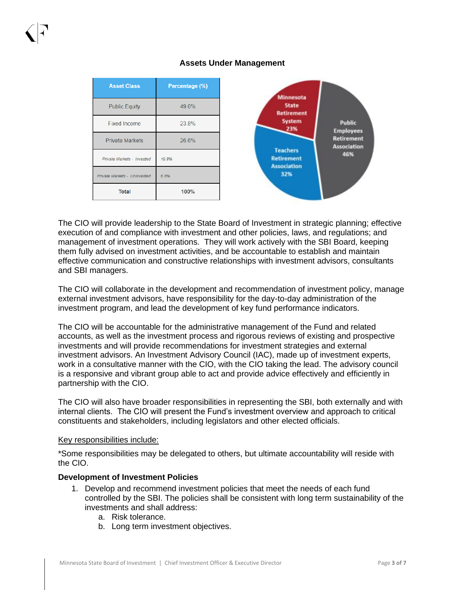#### **Asset Class** Percentage (%) **Minnesota Public Equity** 49.6% State **Retirement System Public Fixed Income** 23.8% 23% **Employees Retirement Private Markets** 26.6% **Association Teachers** 46% **Retirement** Private Markets - Invested 198% **Association** 32% Private Markets - Uninvested 6.8% **Total** 100%

**Assets Under Management**

The CIO will provide leadership to the State Board of Investment in strategic planning; effective execution of and compliance with investment and other policies, laws, and regulations; and management of investment operations. They will work actively with the SBI Board, keeping them fully advised on investment activities, and be accountable to establish and maintain effective communication and constructive relationships with investment advisors, consultants and SBI managers.

The CIO will collaborate in the development and recommendation of investment policy, manage external investment advisors, have responsibility for the day-to-day administration of the investment program, and lead the development of key fund performance indicators.

The CIO will be accountable for the administrative management of the Fund and related accounts, as well as the investment process and rigorous reviews of existing and prospective investments and will provide recommendations for investment strategies and external investment advisors. An Investment Advisory Council (IAC), made up of investment experts, work in a consultative manner with the CIO, with the CIO taking the lead. The advisory council is a responsive and vibrant group able to act and provide advice effectively and efficiently in partnership with the CIO.

The CIO will also have broader responsibilities in representing the SBI, both externally and with internal clients. The CIO will present the Fund's investment overview and approach to critical constituents and stakeholders, including legislators and other elected officials.

#### Key responsibilities include:

\*Some responsibilities may be delegated to others, but ultimate accountability will reside with the CIO.

#### **Development of Investment Policies**

- 1. Develop and recommend investment policies that meet the needs of each fund controlled by the SBI. The policies shall be consistent with long term sustainability of the investments and shall address:
	- a. Risk tolerance.
	- b. Long term investment objectives.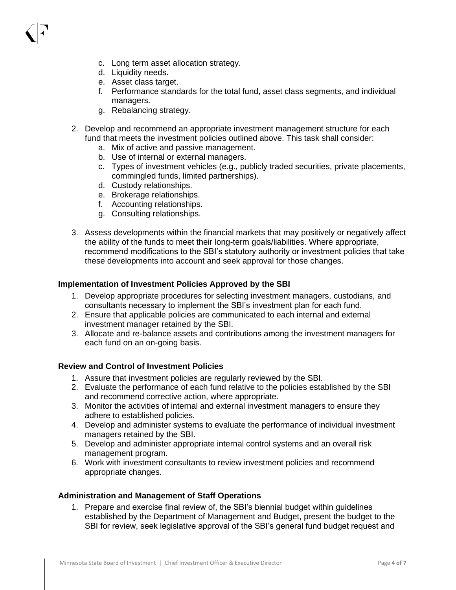- d. Liquidity needs.
- e. Asset class target.
- f. Performance standards for the total fund, asset class segments, and individual managers.
- g. Rebalancing strategy.
- 2. Develop and recommend an appropriate investment management structure for each fund that meets the investment policies outlined above. This task shall consider:
	- a. Mix of active and passive management.
	- b. Use of internal or external managers.
	- c. Types of investment vehicles (e.g., publicly traded securities, private placements, commingled funds, limited partnerships).
	- d. Custody relationships.
	- e. Brokerage relationships.
	- f. Accounting relationships.
	- g. Consulting relationships.
- 3. Assess developments within the financial markets that may positively or negatively affect the ability of the funds to meet their long-term goals/liabilities. Where appropriate, recommend modifications to the SBI's statutory authority or investment policies that take these developments into account and seek approval for those changes.

#### **Implementation of Investment Policies Approved by the SBI**

- 1. Develop appropriate procedures for selecting investment managers, custodians, and consultants necessary to implement the SBI's investment plan for each fund.
- 2. Ensure that applicable policies are communicated to each internal and external investment manager retained by the SBI.
- 3. Allocate and re-balance assets and contributions among the investment managers for each fund on an on-going basis.

#### **Review and Control of Investment Policies**

- 1. Assure that investment policies are regularly reviewed by the SBI.
- 2. Evaluate the performance of each fund relative to the policies established by the SBI and recommend corrective action, where appropriate.
- 3. Monitor the activities of internal and external investment managers to ensure they adhere to established policies.
- 4. Develop and administer systems to evaluate the performance of individual investment managers retained by the SBI.
- 5. Develop and administer appropriate internal control systems and an overall risk management program.
- 6. Work with investment consultants to review investment policies and recommend appropriate changes.

#### **Administration and Management of Staff Operations**

1. Prepare and exercise final review of, the SBI's biennial budget within guidelines established by the Department of Management and Budget, present the budget to the SBI for review, seek legislative approval of the SBI's general fund budget request and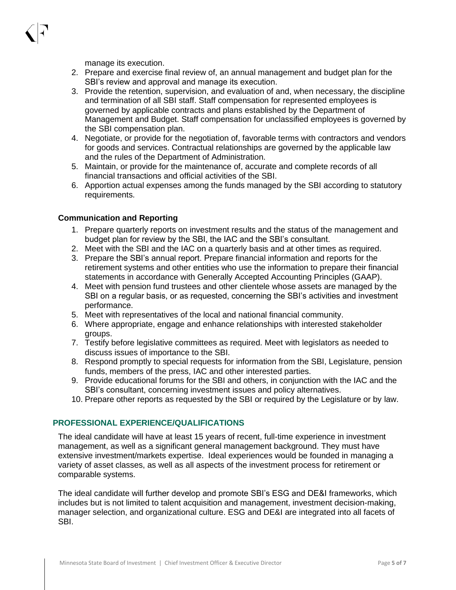manage its execution.

- 2. Prepare and exercise final review of, an annual management and budget plan for the SBI's review and approval and manage its execution.
- 3. Provide the retention, supervision, and evaluation of and, when necessary, the discipline and termination of all SBI staff. Staff compensation for represented employees is governed by applicable contracts and plans established by the Department of Management and Budget. Staff compensation for unclassified employees is governed by the SBI compensation plan.
- 4. Negotiate, or provide for the negotiation of, favorable terms with contractors and vendors for goods and services. Contractual relationships are governed by the applicable law and the rules of the Department of Administration.
- 5. Maintain, or provide for the maintenance of, accurate and complete records of all financial transactions and official activities of the SBI.
- 6. Apportion actual expenses among the funds managed by the SBI according to statutory requirements.

#### **Communication and Reporting**

- 1. Prepare quarterly reports on investment results and the status of the management and budget plan for review by the SBI, the IAC and the SBI's consultant.
- 2. Meet with the SBI and the IAC on a quarterly basis and at other times as required.
- 3. Prepare the SBI's annual report. Prepare financial information and reports for the retirement systems and other entities who use the information to prepare their financial statements in accordance with Generally Accepted Accounting Principles (GAAP).
- 4. Meet with pension fund trustees and other clientele whose assets are managed by the SBI on a regular basis, or as requested, concerning the SBI's activities and investment performance.
- 5. Meet with representatives of the local and national financial community.
- 6. Where appropriate, engage and enhance relationships with interested stakeholder groups.
- 7. Testify before legislative committees as required. Meet with legislators as needed to discuss issues of importance to the SBI.
- 8. Respond promptly to special requests for information from the SBI, Legislature, pension funds, members of the press, IAC and other interested parties.
- 9. Provide educational forums for the SBI and others, in conjunction with the IAC and the SBI's consultant, concerning investment issues and policy alternatives.
- 10. Prepare other reports as requested by the SBI or required by the Legislature or by law.

#### **PROFESSIONAL EXPERIENCE/QUALIFICATIONS**

The ideal candidate will have at least 15 years of recent, full-time experience in investment management, as well as a significant general management background. They must have extensive investment/markets expertise. Ideal experiences would be founded in managing a variety of asset classes, as well as all aspects of the investment process for retirement or comparable systems.

The ideal candidate will further develop and promote SBI's ESG and DE&I frameworks, which includes but is not limited to talent acquisition and management, investment decision-making, manager selection, and organizational culture. ESG and DE&I are integrated into all facets of SBI.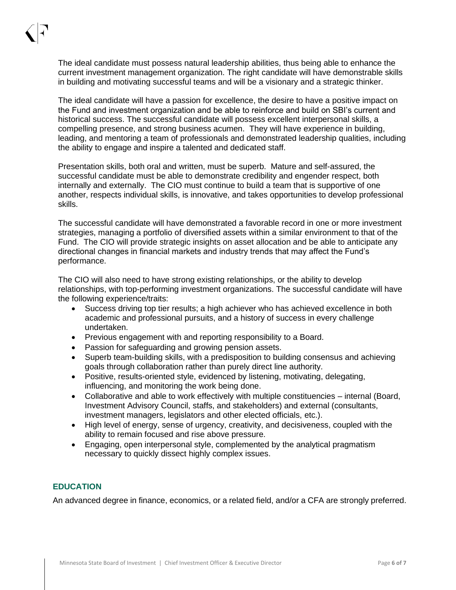The ideal candidate must possess natural leadership abilities, thus being able to enhance the current investment management organization. The right candidate will have demonstrable skills in building and motivating successful teams and will be a visionary and a strategic thinker.

The ideal candidate will have a passion for excellence, the desire to have a positive impact on the Fund and investment organization and be able to reinforce and build on SBI's current and historical success. The successful candidate will possess excellent interpersonal skills, a compelling presence, and strong business acumen. They will have experience in building, leading, and mentoring a team of professionals and demonstrated leadership qualities, including the ability to engage and inspire a talented and dedicated staff.

Presentation skills, both oral and written, must be superb. Mature and self-assured, the successful candidate must be able to demonstrate credibility and engender respect, both internally and externally. The CIO must continue to build a team that is supportive of one another, respects individual skills, is innovative, and takes opportunities to develop professional skills.

The successful candidate will have demonstrated a favorable record in one or more investment strategies, managing a portfolio of diversified assets within a similar environment to that of the Fund. The CIO will provide strategic insights on asset allocation and be able to anticipate any directional changes in financial markets and industry trends that may affect the Fund's performance.

The CIO will also need to have strong existing relationships, or the ability to develop relationships, with top-performing investment organizations. The successful candidate will have the following experience/traits:

- Success driving top tier results; a high achiever who has achieved excellence in both academic and professional pursuits, and a history of success in every challenge undertaken.
- Previous engagement with and reporting responsibility to a Board.
- Passion for safeguarding and growing pension assets.
- Superb team-building skills, with a predisposition to building consensus and achieving goals through collaboration rather than purely direct line authority.
- Positive, results-oriented style, evidenced by listening, motivating, delegating, influencing, and monitoring the work being done.
- Collaborative and able to work effectively with multiple constituencies internal (Board, Investment Advisory Council, staffs, and stakeholders) and external (consultants, investment managers, legislators and other elected officials, etc.).
- High level of energy, sense of urgency, creativity, and decisiveness, coupled with the ability to remain focused and rise above pressure.
- Engaging, open interpersonal style, complemented by the analytical pragmatism necessary to quickly dissect highly complex issues.

#### **EDUCATION**

An advanced degree in finance, economics, or a related field, and/or a CFA are strongly preferred.